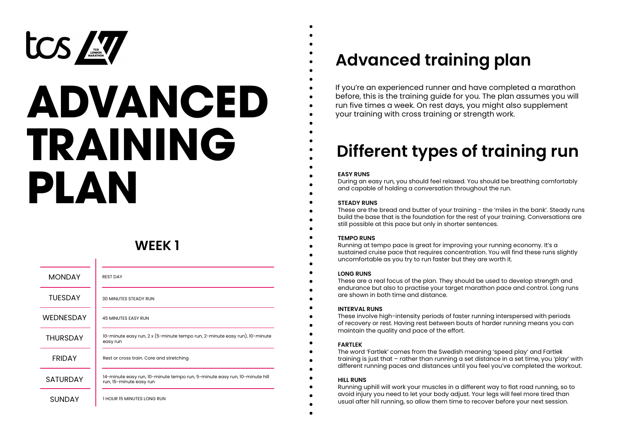

# **ADVANCED TRAINING PLAN**

## **WEEK 1**

| <b>MONDAY</b>    | <b>REST DAY</b>                                                                                       |
|------------------|-------------------------------------------------------------------------------------------------------|
| <b>TUFSDAY</b>   | <b>30 MINUTES STEADY RUN</b>                                                                          |
| <b>WEDNESDAY</b> | <b>45 MINUTES EASY RUN</b>                                                                            |
| <b>THURSDAY</b>  | 10-minute easy run, 2 x (5-minute tempo run, 2-minute easy run), 10-minute<br>easy run                |
| <b>FRIDAY</b>    | Rest or cross train. Core and stretching                                                              |
| <b>SATURDAY</b>  | 14-minute easy run, 10-minute tempo run, 5-minute easy run, 10-minute hill<br>run, 15-minute easy run |
| <b>SUNDAY</b>    | <b>1 HOUR 15 MINUTES LONG RUN</b>                                                                     |

## **Advanced training plan**

If you're an experienced runner and have completed a marathon before, this is the training guide for you. The plan assumes you will run five times a week. On rest days, you might also supplement your training with cross training or strength work.

# **Different types of training run**

#### **EASY RUNS**

During an easy run, you should feel relaxed. You should be breathing comfortably and capable of holding a conversation throughout the run.

#### **STEADY RUNS**

These are the bread and butter of your training - the 'miles in the bank'. Steady runs build the base that is the foundation for the rest of your training. Conversations are still possible at this pace but only in shorter sentences.

#### **TEMPO RUNS**

Running at tempo pace is great for improving your running economy. It's a sustained cruise pace that requires concentration. You will find these runs slightly uncomfortable as you try to run faster but they are worth it.

#### **LONG RUNS**

These are a real focus of the plan. They should be used to develop strength and endurance but also to practise your target marathon pace and control. Long runs are shown in both time and distance.

#### **INTERVAL RUNS**

These involve high-intensity periods of faster running interspersed with periods of recovery or rest. Having rest between bouts of harder running means you can maintain the quality and pace of the effort.

#### **FARTLEK**

The word 'Fartlek' comes from the Swedish meaning 'speed play' and Fartlek training is just that – rather than running a set distance in a set time, you 'play' with different running paces and distances until you feel you've completed the workout.

#### **HILL RUNS**

Running uphill will work your muscles in a different way to flat road running, so to avoid injury you need to let your body adjust. Your legs will feel more tired than usual after hill running, so allow them time to recover before your next session.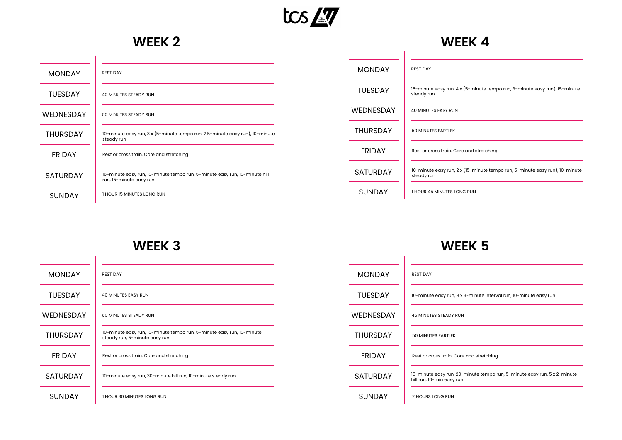

 $\overline{\phantom{0}}$ 

## **WEEK 2**

| <b>MONDAY</b>    | <b>REST DAY</b>                                                                                       |
|------------------|-------------------------------------------------------------------------------------------------------|
| <b>TUESDAY</b>   | <b>40 MINUTES STEADY RUN</b>                                                                          |
| <b>WEDNESDAY</b> | 50 MINUTES STEADY RUN                                                                                 |
| <b>THURSDAY</b>  | 10-minute easy run, 3 x (5-minute tempo run, 2.5-minute easy run), 10-minute<br>steady run            |
| <b>FRIDAY</b>    | Rest or cross train. Core and stretching                                                              |
| <b>SATURDAY</b>  | 15-minute easy run, 10-minute tempo run, 5-minute easy run, 10-minute hill<br>run, 15-minute easy run |
| <b>SUNDAY</b>    | 1 HOUR 15 MINUTES LONG RUN                                                                            |

#### **WEEK 4**

| <b>MONDAY</b>   | <b>REST DAY</b>                                                                           |
|-----------------|-------------------------------------------------------------------------------------------|
| <b>TUESDAY</b>  | 15-minute easy run, 4 x (5-minute tempo run, 3-minute easy run), 15-minute<br>steady run  |
| WEDNESDAY       | <b>40 MINUTES EASY RUN</b>                                                                |
| <b>THURSDAY</b> | <b>50 MINUTES FARTLEK</b>                                                                 |
| <b>FRIDAY</b>   | Rest or cross train. Core and stretching                                                  |
| <b>SATURDAY</b> | 10-minute easy run, 2 x (15-minute tempo run, 5-minute easy run), 10-minute<br>steady run |
| <b>SUNDAY</b>   | 1 HOUR 45 MINUTES LONG RUN                                                                |

### **WEEK 3**

| <b>MONDAY</b>    | <b>REST DAY</b>                                                                                        |
|------------------|--------------------------------------------------------------------------------------------------------|
| <b>TUESDAY</b>   | <b>40 MINUTES EASY RUN</b>                                                                             |
| <b>WEDNESDAY</b> | 60 MINUTES STEADY RUN                                                                                  |
| <b>THURSDAY</b>  | 10-minute easy run, 10-minute tempo run, 5-minute easy run, 10-minute<br>steady run, 5-minute easy run |
| <b>FRIDAY</b>    | Rest or cross train. Core and stretching                                                               |
| <b>SATURDAY</b>  | 10-minute easy run, 30-minute hill run, 10-minute steady run                                           |
| <b>SUNDAY</b>    | 1 HOUR 30 MINUTES LONG RUN                                                                             |

| <b>MONDAY</b>   | <b>REST DAY</b>                                                                                       |
|-----------------|-------------------------------------------------------------------------------------------------------|
| <b>TUESDAY</b>  | 10-minute easy run, 8 x 3-minute interval run, 10-minute easy run                                     |
| WEDNESDAY       | <b>45 MINUTES STEADY RUN</b>                                                                          |
| <b>THURSDAY</b> | <b>50 MINUTES FARTLEK</b>                                                                             |
| <b>FRIDAY</b>   | Rest or cross train. Core and stretching                                                              |
| <b>SATURDAY</b> | 15-minute easy run, 20-minute tempo run, 5-minute easy run, 5 x 2-minute<br>hill run, 10-min easy run |
| <b>SUNDAY</b>   | 2 HOURS LONG RUN                                                                                      |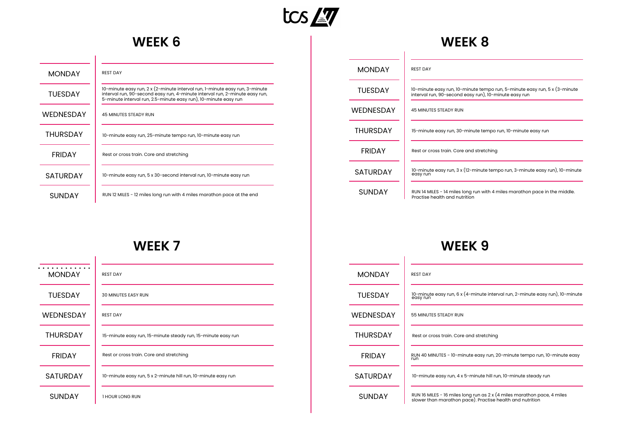

## **WEEK 6**

| <b>MONDAY</b>   | <b>REST DAY</b>                                                                                                                                                                                                               |
|-----------------|-------------------------------------------------------------------------------------------------------------------------------------------------------------------------------------------------------------------------------|
| <b>TUESDAY</b>  | 10-minute easy run, 2 x (2-minute interval run, 1-minute easy run, 3-minute<br>interval run, 90-second easy run, 4-minute interval run, 2-minute easy run,<br>5-minute interval run, 2.5-minute easy run), 10-minute easy run |
| WEDNESDAY       | <b>45 MINUTES STEADY RUN</b>                                                                                                                                                                                                  |
| <b>THURSDAY</b> | 10-minute easy run, 25-minute tempo run, 10-minute easy run                                                                                                                                                                   |
| <b>FRIDAY</b>   | Rest or cross train. Core and stretching                                                                                                                                                                                      |
| <b>SATURDAY</b> | 10-minute easy run, 5 x 30-second interval run, 10-minute easy run                                                                                                                                                            |
| <b>SUNDAY</b>   | RUN 12 MILES - 12 miles long run with 4 miles marathon pace at the end                                                                                                                                                        |

#### **WEEK 8**

| <b>MONDAY</b>   | <b>REST DAY</b>                                                                                                                    |
|-----------------|------------------------------------------------------------------------------------------------------------------------------------|
| <b>TUESDAY</b>  | 10-minute easy run, 10-minute tempo run, 5-minute easy run, 5 x (3-minute<br>interval run, 90-second easy run), 10-minute easy run |
| WEDNESDAY       | <b>45 MINUTES STEADY RUN</b>                                                                                                       |
| <b>THURSDAY</b> | 15-minute easy run, 30-minute tempo run, 10-minute easy run                                                                        |
| <b>FRIDAY</b>   | Rest or cross train. Core and stretching                                                                                           |
| <b>SATURDAY</b> | 10-minute easy run, 3 x (12-minute tempo run, 3-minute easy run), 10-minute<br>easy run                                            |
| <b>SUNDAY</b>   | RUN 14 MILES - 14 miles long run with 4 miles marathon pace in the middle.<br>Practise health and nutrition                        |

## **WEEK 7**

| <b>MONDAY</b>    | <b>REST DAY</b>                                               |
|------------------|---------------------------------------------------------------|
| <b>TUESDAY</b>   | <b>30 MINUTES EASY RUN</b>                                    |
| <b>WEDNESDAY</b> | <b>REST DAY</b>                                               |
| <b>THURSDAY</b>  | 15-minute easy run, 15-minute steady run, 15-minute easy run  |
| <b>FRIDAY</b>    | Rest or cross train. Core and stretching                      |
| <b>SATURDAY</b>  | 10-minute easy run, 5 x 2-minute hill run, 10-minute easy run |
| <b>SUNDAY</b>    | 1 HOUR LONG RUN                                               |

| <b>MONDAY</b>   | <b>REST DAY</b>                                                                                                                      |
|-----------------|--------------------------------------------------------------------------------------------------------------------------------------|
| <b>TUFSDAY</b>  | 10-minute easy run, 6 x (4-minute interval run, 2-minute easy run), 10-minute<br>easy run                                            |
| WEDNESDAY       | 55 MINUTES STEADY RUN                                                                                                                |
| <b>THURSDAY</b> | Rest or cross train. Core and stretching                                                                                             |
| <b>FRIDAY</b>   | RUN 40 MINUTES - 10-minute easy run, 20-minute tempo run, 10-minute easy<br>run                                                      |
| <b>SATURDAY</b> | 10-minute easy run, 4 x 5-minute hill run, 10-minute steady run                                                                      |
| <b>SUNDAY</b>   | RUN 16 MILES - 16 miles long run as 2 x (4 miles marathon pace, 4 miles<br>slower than marathon pace). Practise health and nutrition |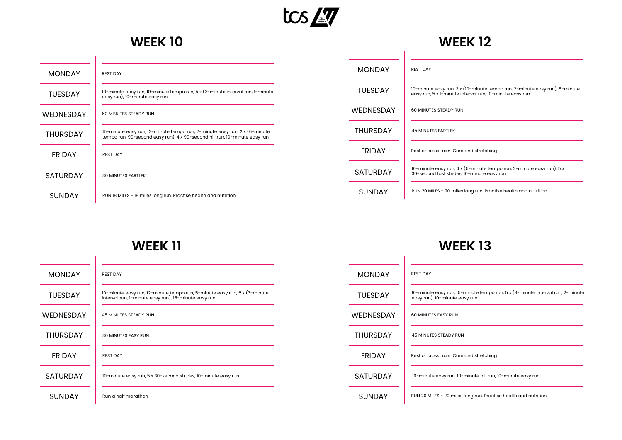

## **WEEK 10**

 $\overline{1}$ 

| <b>MONDAY</b>    | <b>REST DAY</b>                                                                                                                                         |
|------------------|---------------------------------------------------------------------------------------------------------------------------------------------------------|
| <b>TUESDAY</b>   | 10-minute easy run, 10-minute tempo run, 5 x (3-minute interval run, 1-minute<br>easy run), 10-minute easy run                                          |
| <b>WEDNESDAY</b> | 60 MINUTES STEADY RUN                                                                                                                                   |
| <b>THURSDAY</b>  | 15-minute easy run, 12-minute tempo run, 2-minute easy run, 2 x (6-minute<br>tempo run, 90-second easy run), 4 x 90-second hill run, 10-minute easy run |
| <b>FRIDAY</b>    | <b>REST DAY</b>                                                                                                                                         |
| <b>SATURDAY</b>  | <b>30 MINUTES FARTLEK</b>                                                                                                                               |
| SUNDAY           | RUN 18 MILES - 18 miles long run. Practise health and nutrition                                                                                         |

#### **WEEK 12**

| <b>MONDAY</b>    | <b>REST DAY</b>                                                                                                                       |
|------------------|---------------------------------------------------------------------------------------------------------------------------------------|
| <b>TUFSDAY</b>   | 10-minute easy run, 3 x (10-minute tempo run, 2-minute easy run), 5-minute<br>easy run, 5 x 1-minute interval run, 10-minute easy run |
| <b>WEDNESDAY</b> | 60 MINUTES STEADY RUN                                                                                                                 |
| <b>THURSDAY</b>  | <b>45 MINUTES FARTLEK</b>                                                                                                             |
| <b>FRIDAY</b>    | Rest or cross train. Core and stretching                                                                                              |
| <b>SATURDAY</b>  | 10-minute easy run, 4 x (5-minute tempo run, 2-minute easy run), 5 x<br>30-second fast strides, 10-minute easy run                    |
| SUNDAY           | RUN 20 MILES - 20 miles long run. Practise health and nutrition                                                                       |

### **WEEK 11**

| <b>MONDAY</b>    | <b>REST DAY</b>                                                                                                                   |
|------------------|-----------------------------------------------------------------------------------------------------------------------------------|
| <b>TUESDAY</b>   | 10-minute easy run, 12-minute tempo run, 5-minute easy run, 6 x (3-minute<br>interval run, 1-minute easy run), 15-minute easy run |
| <b>WEDNESDAY</b> | <b>45 MINUTES STEADY RUN</b>                                                                                                      |
| <b>THURSDAY</b>  | <b>30 MINUTES EASY RUN</b>                                                                                                        |
| <b>FRIDAY</b>    | <b>REST DAY</b>                                                                                                                   |
| <b>SATURDAY</b>  | 10-minute easy run, 5 x 30-second strides, 10-minute easy run                                                                     |
| <b>SUNDAY</b>    | Run a half marathon                                                                                                               |

| <b>MONDAY</b>   | <b>REST DAY</b>                                                                                                |
|-----------------|----------------------------------------------------------------------------------------------------------------|
| <b>TUESDAY</b>  | 10-minute easy run, 15-minute tempo run, 5 x (3-minute interval run, 2-minute<br>easy run), 10-minute easy run |
| WEDNESDAY       | 60 MINUTES EASY RUN                                                                                            |
| <b>THURSDAY</b> | <b>45 MINUTES STEADY RUN</b>                                                                                   |
| <b>FRIDAY</b>   | Rest or cross train. Core and stretching                                                                       |
| <b>SATURDAY</b> | 10-minute easy run, 10-minute hill run, 10-minute easy run                                                     |
| <b>SUNDAY</b>   | RUN 20 MILES - 20 miles long run. Practise health and nutrition                                                |